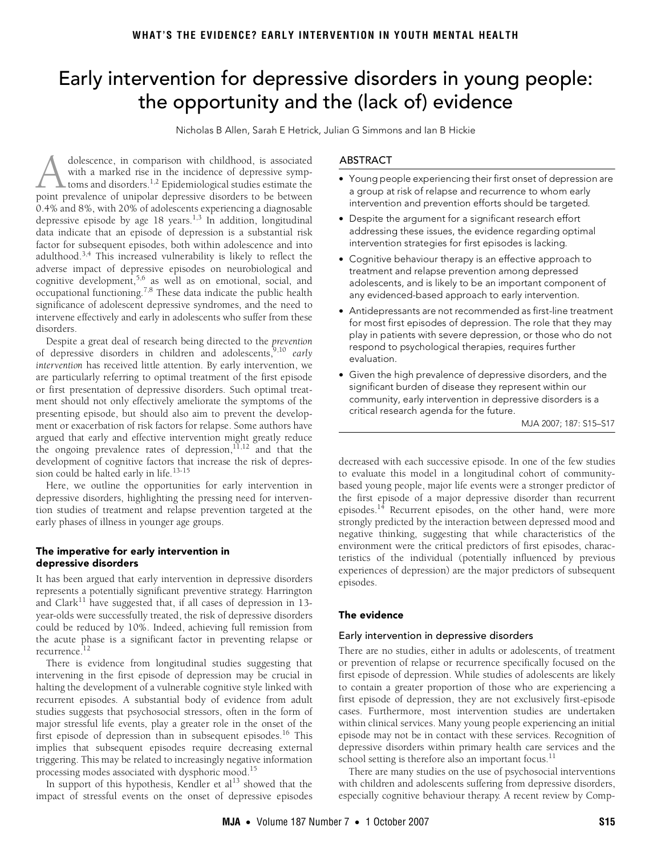# <span id="page-0-0"></span>Early intervention for depressive disorders in young people: the opportunity and the (lack of) evidence

Nicholas B Allen, Sarah E Hetrick, Julian G Simmons and Ian B Hickie

ractor for subsequent episodes, both within adolescence and into<br>adulthood.<sup>[3](#page-2-2),[4](#page-2-3)</sup> This increased vul[ner](#page-0-0)a[bili](#page-2-16)ty is likely to reflect the adulthood. This increased value ability is incly to reflect the<br>adverse impact of depressive episodes on neurobiological and  $\frac{36}{1}$  and  $\frac{36}{20}$  are  $\frac{36}{1}$ cognitive development,<sup>[5](#page-2-4),6</sup> as well as on emotional, social, and occupational functioning.<sup>[7](#page-2-6),8</sup> These data indicate the public health significance of adolescent depressive syndromes, and the need to dolescence, in comparison with childhood, is associated with a marked rise in the incidence of depressive symp-toms and disorders.<sup>[1,](#page-2-0)[2](#page-2-1)</sup> Epidemiological studies estimate the dolescence, in comparison with childhood, is associated with a marked rise in the incidence of depressive symptoms and disorders.<sup>1,2</sup> Epidemiological studies estimate the point prevalence of unipolar depressive disorders 0.4% and 8%, with 20% of adolescents experiencing a diagnosable depressive episode by age 18 years.<sup>1[,3](#page-2-2)</sup> In addition, longitudinal data indicate that an episode of depression is a substantial risk factor for subsequent episodes, both within adolescence and into intervene effectively and early in adolescents who suffer from these disorders.

Despite a great deal of research being directed to the *prevention* of depressive disorders in children and adolescents,<sup>[9](#page-2-8)[,10](#page-2-9)</sup> early *intervention* has received little attention. By early intervention, we are particularly referring to optimal treatment of the first episode or first presentation of depressive disorders. Such optimal treatment should not only effectively ameliorate the symptoms of the presenting episode, but should also aim to prevent the development or exacerbation of risk factors for relapse. Some authors have argued that early and effective intervention might greatly reduce the ongoing prevalence rates of depression,  $11,12$  and that the development of cognitive factors that increase the risk of depres-sion could be halted early in life.<sup>[13](#page-2-12)-[15](#page-2-13)</sup>

Here, we outline the opportunities for early intervention in depressive disorders, highlighting the pressing need for intervention studies of treatment and relapse prevention targeted at the early phases of illness in younger age groups.

# The imperative for early intervention in depressive disorders

It has been argued that early intervention in depressive disorders represents a potentially significant preventive strategy. Harrington and Clark<sup>[11](#page-2-10)</sup> have suggested that, if all cases of depression in 13year-olds were successfully treated, the risk of depressive disorders could be reduced by 10%. Indeed, achieving full remission from the acute phase is a significant factor in preventing relapse or recurrence.<sup>1</sup>

There is evidence from longitudinal studies suggesting that intervening in the first episode of depression may be crucial in halting the development of a vulnerable cognitive style linked with recurrent episodes. A substantial body of evidence from adult studies suggests that psychosocial stressors, often in the form of major stressful life events, play a greater role in the onset of the first episode of depression than in subsequent episodes.<sup>16</sup> This implies that subsequent episodes require decreasing external triggering. This may be related to increasingly negative information processing modes associated with dysphoric mood.[15](#page-2-13)

In support of this hypothesis, Kendler et  $al<sup>13</sup>$  showed that the impact of stressful events on the onset of depressive episodes

# ABSTRACT

- Young people experiencing their first onset of depression are a group at risk of relapse and recurrence to whom early intervention and prevention efforts should be targeted.
- Despite the argument for a significant research effort addressing these issues, the evidence regarding optimal intervention strategies for first episodes is lacking.
- Cognitive behaviour therapy is an effective approach to treatment and relapse prevention among depressed adolescents, and is likely to be an important component of any evidenced-based approach to early intervention.
- Antidepressants are not recommended as first-line treatment for most first episodes of depression. The role that they may play in patients with severe depression, or those who do not respond to psychological therapies, requires further evaluation.
- Given the high prevalence of depressive disorders, and the significant burden of disease they represent within our community, early intervention in depressive disorders is a critical research agenda for the future.

MJA 2007; 187: S15–S17

decreased with each successive episode. In one of the few studies to evaluate this model in a longitudinal cohort of communitybased young people, major life events were a stronger predictor of the first episode of a major depressive disorder than recurrent episodes.<sup>14</sup> Recurrent episodes, on the other hand, were more strongly predicted by the interaction between depressed mood and negative thinking, suggesting that while characteristics of the environment were the critical predictors of first episodes, characteristics of the individual (potentially influenced by previous experiences of depression) are the major predictors of subsequent episodes.

## The evidence

#### Early intervention in depressive disorders

There are no studies, either in adults or adolescents, of treatment or prevention of relapse or recurrence specifically focused on the first episode of depression. While studies of adolescents are likely to contain a greater proportion of those who are experiencing a first episode of depression, they are not exclusively first-episode cases. Furthermore, most intervention studies are undertaken within clinical services. Many young people experiencing an initial episode may not be in contact with these services. Recognition of depressive disorders within primary health care services and the school setting is therefore also an important focus.<sup>[11](#page-2-10)</sup>

There are many studies on the use of psychosocial interventions with children and adolescents suffering from depressive disorders, especially cognitive behaviour therapy. A recent review by Comp-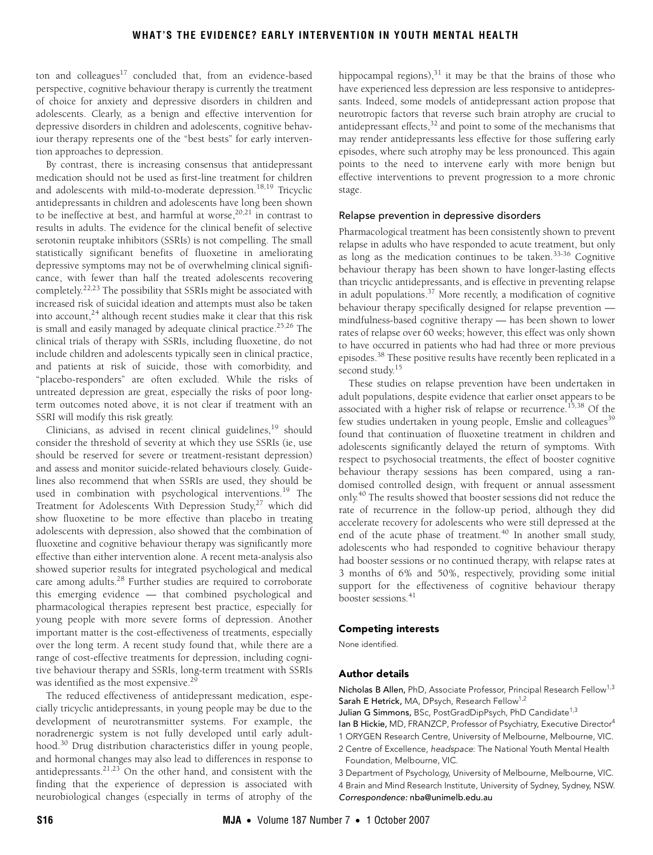ton and colleagues $17$  concluded that, from an evidence-based perspective, cognitive behaviour therapy is currently the treatment of choice for anxiety and depressive disorders in children and adolescents. Clearly, as a benign and effective intervention for depressive disorders in children and adolescents, cognitive behaviour therapy represents one of the "best bests" for early intervention approaches to depression.

By contrast, there is increasing consensus that antidepressant medication should not be used as first-line treatment for children and adolescents with mild-to-moderate depression.<sup>[18,](#page-2-18)[19](#page-2-19)</sup> Tricyclic antidepressants in children and adolescents have long been shown to be ineffective at best, and harmful at worse,  $20,21$  in contrast to results in adults. The evidence for the clinical benefit of selective serotonin reuptake inhibitors (SSRIs) is not compelling. The small statistically significant benefits of fluoxetine in ameliorating depressive symptoms may not be of overwhelming clinical significance, with fewer than half the treated adolescents recovering completely.[22,](#page-2-22)[23](#page-2-23) The possibility that SSRIs might be associated with increased risk of suicidal ideation and attempts must also be taken into account,<sup>[24](#page-2-24)</sup> although recent studies make it clear that this risk is small and easily managed by adequate clinical practice.<sup>25,26</sup> The clinical trials of therapy with SSRIs, including fluoxetine, do not include children and adolescents typically seen in clinical practice, and patients at risk of suicide, those with comorbidity, and "placebo-responders" are often excluded. While the risks of untreated depression are great, especially the risks of poor longterm outcomes noted above, it is not clear if treatment with an SSRI will modify this risk greatly.

Clinicians, as advised in recent clinical guidelines,<sup>19</sup> should consider the threshold of severity at which they use SSRIs (ie, use should be reserved for severe or treatment-resistant depression) and assess and monitor suicide-related behaviours closely. Guidelines also recommend that when SSRIs are used, they should be used in combination with psychological interventions.<sup>[19](#page-2-19)</sup> The Treatment for Adolescents With Depression Study,<sup>[27](#page-2-27)</sup> which did show fluoxetine to be more effective than placebo in treating adolescents with depression, also showed that the combination of fluoxetine and cognitive behaviour therapy was significantly more effective than either intervention alone. A recent meta-analysis also showed superior results for integrated psychological and medical care among adults.[28](#page-2-28) Further studies are required to corroborate this emerging evidence — that combined psychological and pharmacological therapies represent best practice, especially for young people with more severe forms of depression. Another important matter is the cost-effectiveness of treatments, especially over the long term. A recent study found that, while there are a range of cost-effective treatments for depression, including cognitive behaviour therapy and SSRIs, long-term treatment with SSRIs was identified as the most expensive.<sup>[29](#page-2-29)</sup>

The reduced effectiveness of antidepressant medication, especially tricyclic antidepressants, in young people may be due to the development of neurotransmitter systems. For example, the noradrenergic system is not fully developed until early adulthood.[30](#page-2-30) Drug distribution characteristics differ in young people, and hormonal changes may also lead to differences in response to antidepressants.[21](#page-2-21)[,23](#page-2-23) On the other hand, and consistent with the finding that the experience of depression is associated with neurobiological changes (especially in terms of atrophy of the

hippocampal regions), $31$  it may be that the brains of those who have experienced less depression are less responsive to antidepressants. Indeed, some models of antidepressant action propose that neurotropic factors that reverse such brain atrophy are crucial to antidepressant effects, $32$  and point to some of the mechanisms that may render antidepressants less effective for those suffering early episodes, where such atrophy may be less pronounced. This again points to the need to intervene early with more benign but effective interventions to prevent progression to a more chronic stage.

## Relapse prevention in depressive disorders

Pharmacological treatment has been consistently shown to prevent relapse in adults who have responded to acute treatment, but only as long as the medication continues to be taken.[33](#page-2-33)[-36](#page-2-34) Cognitive behaviour therapy has been shown to have longer-lasting effects than tricyclic antidepressants, and is effective in preventing relapse in adult populations. $37$  More recently, a modification of cognitive behaviour therapy specifically designed for relapse prevention mindfulness-based cognitive therapy — has been shown to lower rates of relapse over 60 weeks; however, this effect was only shown to have occurred in patients who had had three or more previous episodes.[38](#page-2-36) These positive results have recently been replicated in a second study[.15](#page-2-13)

These studies on relapse prevention have been undertaken in adult populations, despite evidence that earlier onset appears to be associated with a higher risk of relapse or recurrence.[15](#page-2-13),[38](#page-2-36) Of the few studies undertaken in young people, Emslie and colleagues<sup>[39](#page-2-37)</sup> found that continuation of fluoxetine treatment in children and adolescents significantly delayed the return of symptoms. With respect to psychosocial treatments, the effect of booster cognitive behaviour therapy sessions has been compared, using a randomised controlled design, with frequent or annual assessment only.[40](#page-2-38) The results showed that booster sessions did not reduce the rate of recurrence in the follow-up period, although they did accelerate recovery for adolescents who were still depressed at the end of the acute phase of treatment.<sup>40</sup> In another small study, adolescents who had responded to cognitive behaviour therapy had booster sessions or no continued therapy, with relapse rates at 3 months of 6% and 50%, respectively, providing some initial support for the effectiveness of cognitive behaviour therapy booster sessions.<sup>[41](#page-2-16)</sup>

## Competing interests

None identified.

# Author details

Nicholas B Allen, PhD, Associate Professor, Principal Research Fellow<sup>1,3</sup> Sarah E Hetrick, MA, DPsych, Research Fellow<sup>1,2</sup> Julian G Simmons, BSc, PostGradDipPsych, PhD Candidate<sup>1,3</sup> Ian B Hickie, MD, FRANZCP, Professor of Psychiatry, Executive Director<sup>4</sup> 1 ORYGEN Research Centre, University of Melbourne, Melbourne, VIC. 2 Centre of Excellence, headspace: The National Youth Mental Health

- Foundation, Melbourne, VIC.
- 3 Department of Psychology, University of Melbourne, Melbourne, VIC. 4 Brain and Mind Research Institute, University of Sydney, Sydney, NSW. Correspondence: nba@unimelb.edu.au